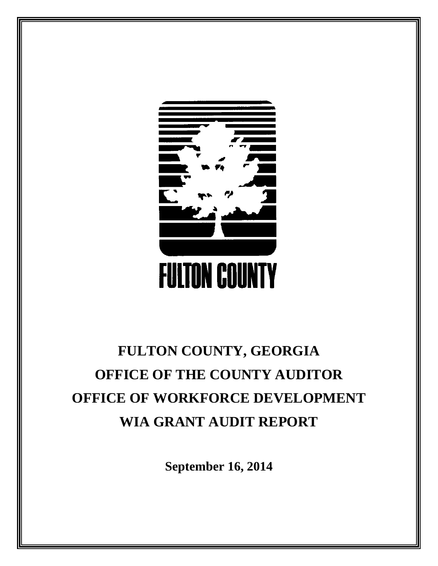

# **FULTON COUNTY, GEORGIA OFFICE OF THE COUNTY AUDITOR OFFICE OF WORKFORCE DEVELOPMENT WIA GRANT AUDIT REPORT**

**September 16, 2014**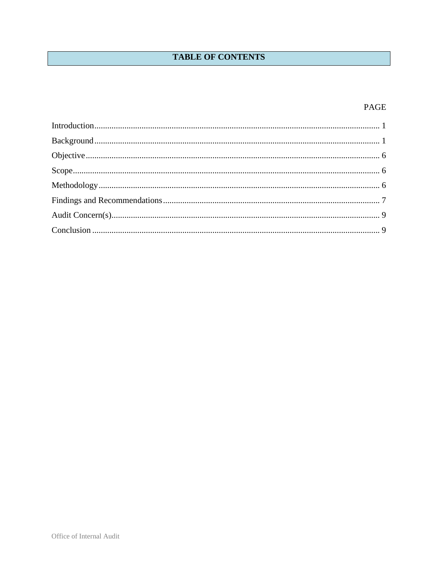## **TABLE OF CONTENTS**

## PAGE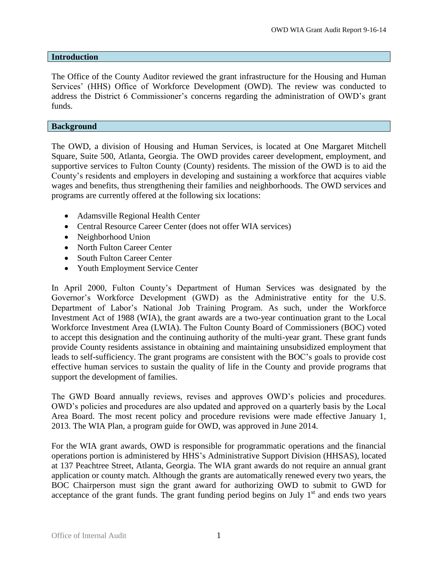#### <span id="page-2-0"></span>**Introduction**

The Office of the County Auditor reviewed the grant infrastructure for the Housing and Human Services' (HHS) Office of Workforce Development (OWD). The review was conducted to address the District 6 Commissioner's concerns regarding the administration of OWD's grant funds.

#### <span id="page-2-1"></span>**Background**

The OWD, a division of Housing and Human Services, is located at One Margaret Mitchell Square, Suite 500, Atlanta, Georgia. The OWD provides career development, employment, and supportive services to Fulton County (County) residents. The mission of the OWD is to aid the County's residents and employers in developing and sustaining a workforce that acquires viable wages and benefits, thus strengthening their families and neighborhoods. The OWD services and programs are currently offered at the following six locations:

- Adamsville Regional Health Center
- Central Resource Career Center (does not offer WIA services)
- Neighborhood Union
- North Fulton Career Center
- South Fulton Career Center
- Youth Employment Service Center

In April 2000, Fulton County's Department of Human Services was designated by the Governor's Workforce Development (GWD) as the Administrative entity for the U.S. Department of Labor's National Job Training Program. As such, under the Workforce Investment Act of 1988 (WIA), the grant awards are a two-year continuation grant to the Local Workforce Investment Area (LWIA). The Fulton County Board of Commissioners (BOC) voted to accept this designation and the continuing authority of the multi-year grant. These grant funds provide County residents assistance in obtaining and maintaining unsubsidized employment that leads to self-sufficiency. The grant programs are consistent with the BOC's goals to provide cost effective human services to sustain the quality of life in the County and provide programs that support the development of families.

The GWD Board annually reviews, revises and approves OWD's policies and procedures. OWD's policies and procedures are also updated and approved on a quarterly basis by the Local Area Board. The most recent policy and procedure revisions were made effective January 1, 2013. The WIA Plan, a program guide for OWD, was approved in June 2014.

For the WIA grant awards, OWD is responsible for programmatic operations and the financial operations portion is administered by HHS's Administrative Support Division (HHSAS), located at 137 Peachtree Street, Atlanta, Georgia. The WIA grant awards do not require an annual grant application or county match. Although the grants are automatically renewed every two years, the BOC Chairperson must sign the grant award for authorizing OWD to submit to GWD for acceptance of the grant funds. The grant funding period begins on July  $1<sup>st</sup>$  and ends two years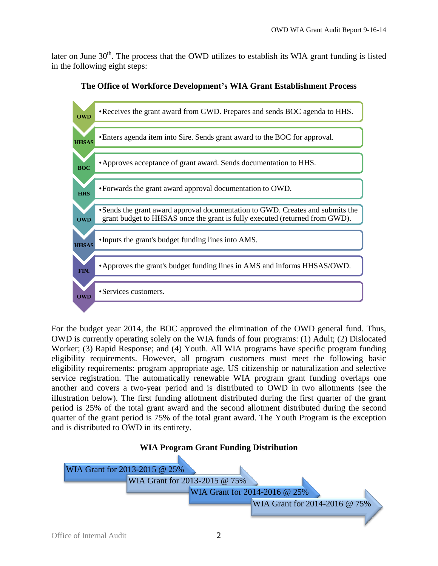later on June  $30<sup>th</sup>$ . The process that the OWD utilizes to establish its WIA grant funding is listed in the following eight steps:



**The Office of Workforce Development's WIA Grant Establishment Process**

For the budget year 2014, the BOC approved the elimination of the OWD general fund. Thus, OWD is currently operating solely on the WIA funds of four programs: (1) Adult; (2) Dislocated Worker; (3) Rapid Response; and (4) Youth. All WIA programs have specific program funding eligibility requirements. However, all program customers must meet the following basic eligibility requirements: program appropriate age, US citizenship or naturalization and selective service registration. The automatically renewable WIA program grant funding overlaps one another and covers a two-year period and is distributed to OWD in two allotments (see the illustration below). The first funding allotment distributed during the first quarter of the grant period is 25% of the total grant award and the second allotment distributed during the second quarter of the grant period is 75% of the total grant award. The Youth Program is the exception and is distributed to OWD in its entirety.

## **WIA Program Grant Funding Distribution**

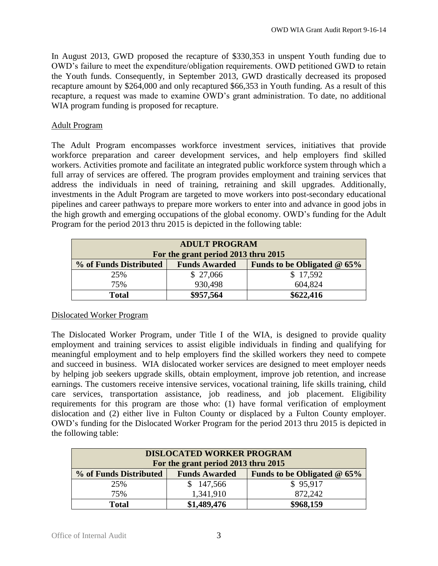In August 2013, GWD proposed the recapture of \$330,353 in unspent Youth funding due to OWD's failure to meet the expenditure/obligation requirements. OWD petitioned GWD to retain the Youth funds. Consequently, in September 2013, GWD drastically decreased its proposed recapture amount by \$264,000 and only recaptured \$66,353 in Youth funding. As a result of this recapture, a request was made to examine OWD's grant administration. To date, no additional WIA program funding is proposed for recapture.

## Adult Program

The Adult Program encompasses workforce investment services, initiatives that provide workforce preparation and career development services, and help employers find skilled workers. Activities promote and facilitate an integrated public workforce system through which a full array of services are offered. The program provides employment and training services that address the individuals in need of training, retraining and skill upgrades. Additionally, investments in the Adult Program are targeted to move workers into post-secondary educational pipelines and career pathways to prepare more workers to enter into and advance in good jobs in the high growth and emerging occupations of the global economy. OWD's funding for the Adult Program for the period 2013 thru 2015 is depicted in the following table:

| <b>ADULT PROGRAM</b><br>For the grant period 2013 thru 2015 |                               |          |  |  |  |  |  |
|-------------------------------------------------------------|-------------------------------|----------|--|--|--|--|--|
| % of Funds Distributed                                      | Funds to be Obligated $@$ 65% |          |  |  |  |  |  |
| 25%                                                         | \$27,066                      | \$17,592 |  |  |  |  |  |
| 75%                                                         | 930,498                       | 604,824  |  |  |  |  |  |
| <b>Total</b>                                                | \$622,416<br>\$957,564        |          |  |  |  |  |  |

## Dislocated Worker Program

The Dislocated Worker Program, under Title I of the WIA, is designed to provide quality employment and training services to assist eligible individuals in finding and qualifying for meaningful employment and to help employers find the skilled workers they need to compete and succeed in business. WIA dislocated worker services are designed to meet employer needs by helping job seekers upgrade skills, obtain employment, improve job retention, and increase earnings. The customers receive intensive services, vocational training, life skills training, child care services, transportation assistance, job readiness, and job placement. Eligibility requirements for this program are those who: (1) have formal verification of employment dislocation and (2) either live in Fulton County or displaced by a Fulton County employer. OWD's funding for the Dislocated Worker Program for the period 2013 thru 2015 is depicted in the following table:

| <b>DISLOCATED WORKER PROGRAM</b><br>For the grant period 2013 thru 2015         |             |           |  |  |  |
|---------------------------------------------------------------------------------|-------------|-----------|--|--|--|
| % of Funds Distributed<br>Funds to be Obligated $@$ 65%<br><b>Funds Awarded</b> |             |           |  |  |  |
| 25%                                                                             | 147,566     | \$95,917  |  |  |  |
| 75%                                                                             | 1,341,910   | 872,242   |  |  |  |
| <b>Total</b>                                                                    | \$1,489,476 | \$968,159 |  |  |  |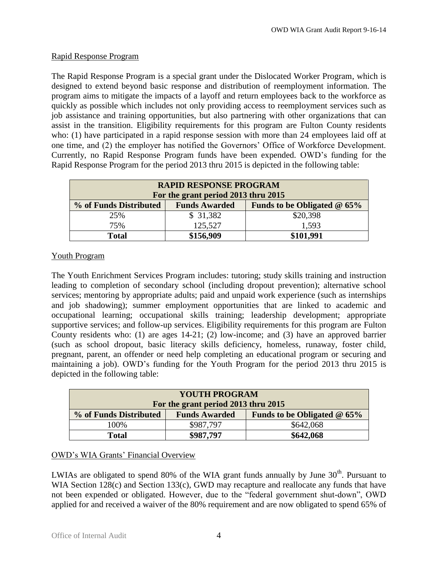## Rapid Response Program

The Rapid Response Program is a special grant under the Dislocated Worker Program, which is designed to extend beyond basic response and distribution of reemployment information. The program aims to mitigate the impacts of a layoff and return employees back to the workforce as quickly as possible which includes not only providing access to reemployment services such as job assistance and training opportunities, but also partnering with other organizations that can assist in the transition. Eligibility requirements for this program are Fulton County residents who: (1) have participated in a rapid response session with more than 24 employees laid off at one time, and (2) the employer has notified the Governors' Office of Workforce Development. Currently, no Rapid Response Program funds have been expended. OWD's funding for the Rapid Response Program for the period 2013 thru 2015 is depicted in the following table:

| <b>RAPID RESPONSE PROGRAM</b><br>For the grant period 2013 thru 2015            |          |          |  |  |  |  |
|---------------------------------------------------------------------------------|----------|----------|--|--|--|--|
| % of Funds Distributed<br><b>Funds Awarded</b><br>Funds to be Obligated $@$ 65% |          |          |  |  |  |  |
| 25%                                                                             | \$31,382 | \$20,398 |  |  |  |  |
| 75%                                                                             | 125,527  | 1,593    |  |  |  |  |
| \$156,909<br>\$101,991<br><b>Total</b>                                          |          |          |  |  |  |  |

## Youth Program

The Youth Enrichment Services Program includes: tutoring; study skills training and instruction leading to completion of secondary school (including dropout prevention); alternative school services; mentoring by appropriate adults; paid and unpaid work experience (such as internships and job shadowing); summer employment opportunities that are linked to academic and occupational learning; occupational skills training; leadership development; appropriate supportive services; and follow-up services. Eligibility requirements for this program are Fulton County residents who: (1) are ages 14-21; (2) low-income; and (3) have an approved barrier (such as school dropout, basic literacy skills deficiency, homeless, runaway, foster child, pregnant, parent, an offender or need help completing an educational program or securing and maintaining a job). OWD's funding for the Youth Program for the period 2013 thru 2015 is depicted in the following table:

| <b>YOUTH PROGRAM</b>                                                            |           |           |  |  |  |
|---------------------------------------------------------------------------------|-----------|-----------|--|--|--|
| For the grant period 2013 thru 2015                                             |           |           |  |  |  |
| % of Funds Distributed<br><b>Funds Awarded</b><br>Funds to be Obligated $@$ 65% |           |           |  |  |  |
| 100%                                                                            | \$987,797 | \$642,068 |  |  |  |
| <b>Total</b>                                                                    | \$642,068 |           |  |  |  |

## OWD's WIA Grants' Financial Overview

LWIAs are obligated to spend 80% of the WIA grant funds annually by June  $30<sup>th</sup>$ . Pursuant to WIA Section 128(c) and Section 133(c), GWD may recapture and reallocate any funds that have not been expended or obligated. However, due to the "federal government shut-down", OWD applied for and received a waiver of the 80% requirement and are now obligated to spend 65% of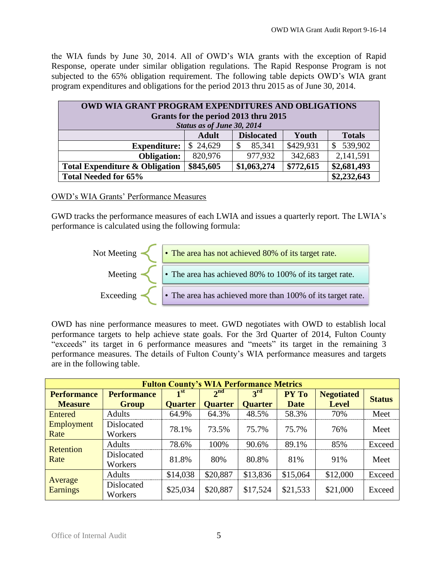the WIA funds by June 30, 2014. All of OWD's WIA grants with the exception of Rapid Response, operate under similar obligation regulations. The Rapid Response Program is not subjected to the 65% obligation requirement. The following table depicts OWD's WIA grant program expenditures and obligations for the period 2013 thru 2015 as of June 30, 2014.

| <b>OWD WIA GRANT PROGRAM EXPENDITURES AND OBLIGATIONS</b><br>Grants for the period 2013 thru 2015<br>Status as of June 30, 2014 |          |             |           |                         |  |  |
|---------------------------------------------------------------------------------------------------------------------------------|----------|-------------|-----------|-------------------------|--|--|
| <b>Dislocated</b><br><b>Totals</b><br><b>Adult</b><br>Youth                                                                     |          |             |           |                         |  |  |
| <b>Expenditure:</b>                                                                                                             | \$24,629 | 85,341<br>S | \$429,931 | 539,902<br>$\mathbb{S}$ |  |  |
| <b>Obligation:</b>                                                                                                              | 820,976  | 977,932     | 342,683   | 2,141,591               |  |  |
| \$772,615<br>\$845,605<br>\$1,063,274<br>\$2,681,493<br><b>Total Expenditure &amp; Obligation</b>                               |          |             |           |                         |  |  |
| <b>Total Needed for 65%</b>                                                                                                     |          |             |           | \$2,232,643             |  |  |

## OWD's WIA Grants' Performance Measures

GWD tracks the performance measures of each LWIA and issues a quarterly report. The LWIA's performance is calculated using the following formula:



OWD has nine performance measures to meet. GWD negotiates with OWD to establish local performance targets to help achieve state goals. For the 3rd Quarter of 2014, Fulton County "exceeds" its target in 6 performance measures and "meets" its target in the remaining 3 performance measures. The details of Fulton County's WIA performance measures and targets are in the following table.

| <b>Fulton County's WIA Performance Metrics</b> |                       |                            |                 |                 |              |                   |               |
|------------------------------------------------|-----------------------|----------------------------|-----------------|-----------------|--------------|-------------------|---------------|
| <b>Performance</b>                             | <b>Performance</b>    | $\mathbf{1}^{\mathrm{st}}$ | 2 <sup>nd</sup> | 3 <sup>rd</sup> | <b>PY To</b> | <b>Negotiated</b> | <b>Status</b> |
| <b>Measure</b>                                 | <b>Group</b>          | <b>Quarter</b>             | <b>Quarter</b>  | <b>Quarter</b>  | <b>Date</b>  | <b>Level</b>      |               |
| Entered                                        | <b>Adults</b>         | 64.9%                      | 64.3%           | 48.5%           | 58.3%        | 70%               | Meet          |
| Employment                                     | <b>Dislocated</b>     | 78.1%                      | 73.5%           | 75.7%           | 75.7%        | 76%               | Meet          |
| Rate                                           | Workers               |                            |                 |                 |              |                   |               |
| <b>Retention</b><br>Rate                       | <b>Adults</b>         | 78.6%                      | 100%            | 90.6%           | 89.1%        | 85%               | Exceed        |
|                                                | Dislocated<br>Workers | 81.8%                      | 80%             | 80.8%           | 81%          | 91%               | Meet          |
| Average<br><b>Earnings</b>                     | <b>Adults</b>         | \$14,038                   | \$20,887        | \$13,836        | \$15,064     | \$12,000          | Exceed        |
|                                                | Dislocated<br>Workers | \$25,034                   | \$20,887        | \$17,524        | \$21,533     | \$21,000          | Exceed        |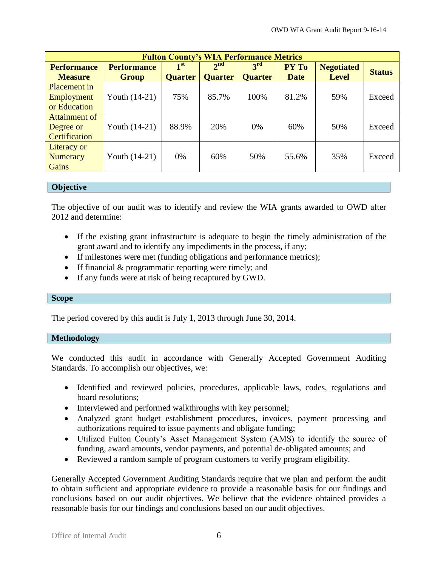| <b>Fulton County's WIA Performance Metrics</b> |                    |                 |                 |                 |             |                   |               |
|------------------------------------------------|--------------------|-----------------|-----------------|-----------------|-------------|-------------------|---------------|
| <b>Performance</b>                             | <b>Performance</b> | 1 <sup>st</sup> | 2 <sup>nd</sup> | 3 <sup>rd</sup> | PY To       | <b>Negotiated</b> | <b>Status</b> |
| <b>Measure</b>                                 | <b>Group</b>       | <b>Quarter</b>  | <b>Quarter</b>  | <b>Quarter</b>  | <b>Date</b> | <b>Level</b>      |               |
| Placement in                                   |                    |                 |                 |                 |             |                   |               |
| Employment                                     | Youth $(14-21)$    | 75%             | 85.7%           | 100%            | 81.2%       | 59%               | Exceed        |
| or Education                                   |                    |                 |                 |                 |             |                   |               |
| Attainment of                                  |                    |                 |                 |                 |             |                   |               |
| Degree or                                      | Youth $(14-21)$    | 88.9%           | 20%             | 0%              | 60%         | 50%               | Exceed        |
| Certification                                  |                    |                 |                 |                 |             |                   |               |
| Literacy or                                    |                    |                 |                 |                 |             |                   |               |
| Numeracy                                       | Youth $(14-21)$    | 0%              | 60%             | 50%             | 55.6%       | 35%               | Exceed        |
| Gains                                          |                    |                 |                 |                 |             |                   |               |

#### <span id="page-7-0"></span>**Objective**

The objective of our audit was to identify and review the WIA grants awarded to OWD after 2012 and determine:

- If the existing grant infrastructure is adequate to begin the timely administration of the grant award and to identify any impediments in the process, if any;
- If milestones were met (funding obligations and performance metrics);
- If financial  $&$  programmatic reporting were timely; and
- If any funds were at risk of being recaptured by GWD.

#### <span id="page-7-1"></span>**Scope**

The period covered by this audit is July 1, 2013 through June 30, 2014.

#### <span id="page-7-2"></span>**Methodology**

We conducted this audit in accordance with Generally Accepted Government Auditing Standards. To accomplish our objectives, we:

- Identified and reviewed policies, procedures, applicable laws, codes, regulations and board resolutions;
- Interviewed and performed walkthroughs with key personnel;
- Analyzed grant budget establishment procedures, invoices, payment processing and authorizations required to issue payments and obligate funding;
- Utilized Fulton County's Asset Management System (AMS) to identify the source of funding, award amounts, vendor payments, and potential de-obligated amounts; and
- Reviewed a random sample of program customers to verify program eligibility.

Generally Accepted Government Auditing Standards require that we plan and perform the audit to obtain sufficient and appropriate evidence to provide a reasonable basis for our findings and conclusions based on our audit objectives. We believe that the evidence obtained provides a reasonable basis for our findings and conclusions based on our audit objectives.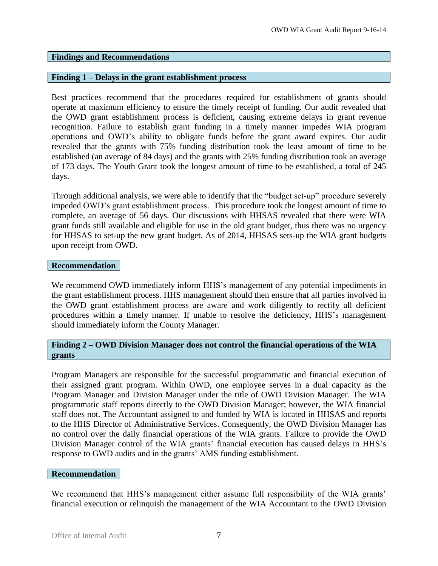#### <span id="page-8-0"></span>**Findings and Recommendations**

#### **Finding 1 – Delays in the grant establishment process**

Best practices recommend that the procedures required for establishment of grants should operate at maximum efficiency to ensure the timely receipt of funding. Our audit revealed that the OWD grant establishment process is deficient, causing extreme delays in grant revenue recognition. Failure to establish grant funding in a timely manner impedes WIA program operations and OWD's ability to obligate funds before the grant award expires. Our audit revealed that the grants with 75% funding distribution took the least amount of time to be established (an average of 84 days) and the grants with 25% funding distribution took an average of 173 days. The Youth Grant took the longest amount of time to be established, a total of 245 days.

Through additional analysis, we were able to identify that the "budget set-up" procedure severely impeded OWD's grant establishment process. This procedure took the longest amount of time to complete, an average of 56 days. Our discussions with HHSAS revealed that there were WIA grant funds still available and eligible for use in the old grant budget, thus there was no urgency for HHSAS to set-up the new grant budget. As of 2014, HHSAS sets-up the WIA grant budgets upon receipt from OWD.

#### **Recommendation**

We recommend OWD immediately inform HHS's management of any potential impediments in the grant establishment process. HHS management should then ensure that all parties involved in the OWD grant establishment process are aware and work diligently to rectify all deficient procedures within a timely manner. If unable to resolve the deficiency, HHS's management should immediately inform the County Manager.

## **Finding 2 – OWD Division Manager does not control the financial operations of the WIA grants**

Program Managers are responsible for the successful programmatic and financial execution of their assigned grant program. Within OWD, one employee serves in a dual capacity as the Program Manager and Division Manager under the title of OWD Division Manager. The WIA programmatic staff reports directly to the OWD Division Manager; however, the WIA financial staff does not. The Accountant assigned to and funded by WIA is located in HHSAS and reports to the HHS Director of Administrative Services. Consequently, the OWD Division Manager has no control over the daily financial operations of the WIA grants. Failure to provide the OWD Division Manager control of the WIA grants' financial execution has caused delays in HHS's response to GWD audits and in the grants' AMS funding establishment.

#### **Recommendation**

We recommend that HHS's management either assume full responsibility of the WIA grants' financial execution or relinquish the management of the WIA Accountant to the OWD Division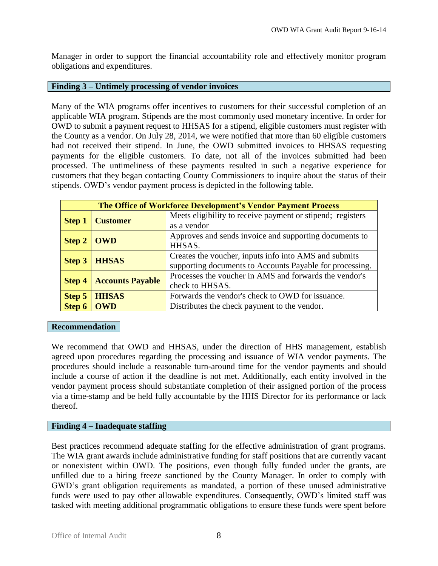Manager in order to support the financial accountability role and effectively monitor program obligations and expenditures.

#### **Finding 3 – Untimely processing of vendor invoices**

Many of the WIA programs offer incentives to customers for their successful completion of an applicable WIA program. Stipends are the most commonly used monetary incentive. In order for OWD to submit a payment request to HHSAS for a stipend, eligible customers must register with the County as a vendor. On July 28, 2014, we were notified that more than 60 eligible customers had not received their stipend. In June, the OWD submitted invoices to HHSAS requesting payments for the eligible customers. To date, not all of the invoices submitted had been processed. The untimeliness of these payments resulted in such a negative experience for customers that they began contacting County Commissioners to inquire about the status of their stipends. OWD's vendor payment process is depicted in the following table.

|               | <b>The Office of Workforce Development's Vendor Payment Process</b> |                                                                                                                   |  |  |  |  |
|---------------|---------------------------------------------------------------------|-------------------------------------------------------------------------------------------------------------------|--|--|--|--|
| <b>Step 1</b> | <b>Customer</b>                                                     | Meets eligibility to receive payment or stipend; registers<br>as a vendor                                         |  |  |  |  |
| <b>Step 2</b> | <b>OWD</b>                                                          | Approves and sends invoice and supporting documents to<br>HHSAS.                                                  |  |  |  |  |
| <b>Step 3</b> | <b>HHSAS</b>                                                        | Creates the voucher, inputs info into AMS and submits<br>supporting documents to Accounts Payable for processing. |  |  |  |  |
| <b>Step 4</b> | <b>Accounts Payable</b>                                             | Processes the voucher in AMS and forwards the vendor's<br>check to HHSAS.                                         |  |  |  |  |
| Step 5        | <b>HHSAS</b>                                                        | Forwards the vendor's check to OWD for issuance.                                                                  |  |  |  |  |
| Step 6        | <b>OWD</b>                                                          | Distributes the check payment to the vendor.                                                                      |  |  |  |  |

## **Recommendation**

We recommend that OWD and HHSAS, under the direction of HHS management, establish agreed upon procedures regarding the processing and issuance of WIA vendor payments. The procedures should include a reasonable turn-around time for the vendor payments and should include a course of action if the deadline is not met. Additionally, each entity involved in the vendor payment process should substantiate completion of their assigned portion of the process via a time-stamp and be held fully accountable by the HHS Director for its performance or lack thereof.

## **Finding 4 – Inadequate staffing**

Best practices recommend adequate staffing for the effective administration of grant programs. The WIA grant awards include administrative funding for staff positions that are currently vacant or nonexistent within OWD. The positions, even though fully funded under the grants, are unfilled due to a hiring freeze sanctioned by the County Manager. In order to comply with GWD's grant obligation requirements as mandated, a portion of these unused administrative funds were used to pay other allowable expenditures. Consequently, OWD's limited staff was tasked with meeting additional programmatic obligations to ensure these funds were spent before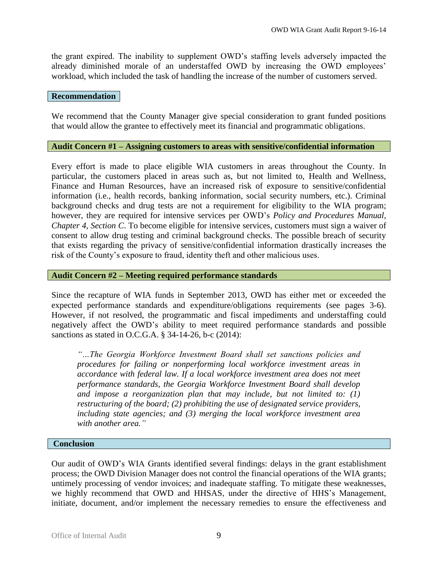the grant expired. The inability to supplement OWD's staffing levels adversely impacted the already diminished morale of an understaffed OWD by increasing the OWD employees' workload, which included the task of handling the increase of the number of customers served.

#### **Recommendation**

We recommend that the County Manager give special consideration to grant funded positions that would allow the grantee to effectively meet its financial and programmatic obligations.

## <span id="page-10-0"></span>**Audit Concern #1 – Assigning customers to areas with sensitive/confidential information**

Every effort is made to place eligible WIA customers in areas throughout the County. In particular, the customers placed in areas such as, but not limited to, Health and Wellness, Finance and Human Resources, have an increased risk of exposure to sensitive/confidential information (i.e., health records, banking information, social security numbers, etc.). Criminal background checks and drug tests are not a requirement for eligibility to the WIA program; however, they are required for intensive services per OWD's *Policy and Procedures Manual, Chapter 4, Section C*. To become eligible for intensive services, customers must sign a waiver of consent to allow drug testing and criminal background checks. The possible breach of security that exists regarding the privacy of sensitive/confidential information drastically increases the risk of the County's exposure to fraud, identity theft and other malicious uses.

## **Audit Concern #2 – Meeting required performance standards**

Since the recapture of WIA funds in September 2013, OWD has either met or exceeded the expected performance standards and expenditure/obligations requirements (see pages 3-6). However, if not resolved, the programmatic and fiscal impediments and understaffing could negatively affect the OWD's ability to meet required performance standards and possible sanctions as stated in O.C.G.A. § 34-14-26, b-c (2014):

*"…The Georgia Workforce Investment Board shall set sanctions policies and procedures for failing or nonperforming local workforce investment areas in accordance with federal law. If a local workforce investment area does not meet performance standards, the Georgia Workforce Investment Board shall develop and impose a reorganization plan that may include, but not limited to: (1) restructuring of the board; (2) prohibiting the use of designated service providers, including state agencies; and (3) merging the local workforce investment area with another area."*

#### <span id="page-10-1"></span>**Conclusion**

Our audit of OWD's WIA Grants identified several findings: delays in the grant establishment process; the OWD Division Manager does not control the financial operations of the WIA grants; untimely processing of vendor invoices; and inadequate staffing. To mitigate these weaknesses, we highly recommend that OWD and HHSAS, under the directive of HHS's Management, initiate, document, and/or implement the necessary remedies to ensure the effectiveness and